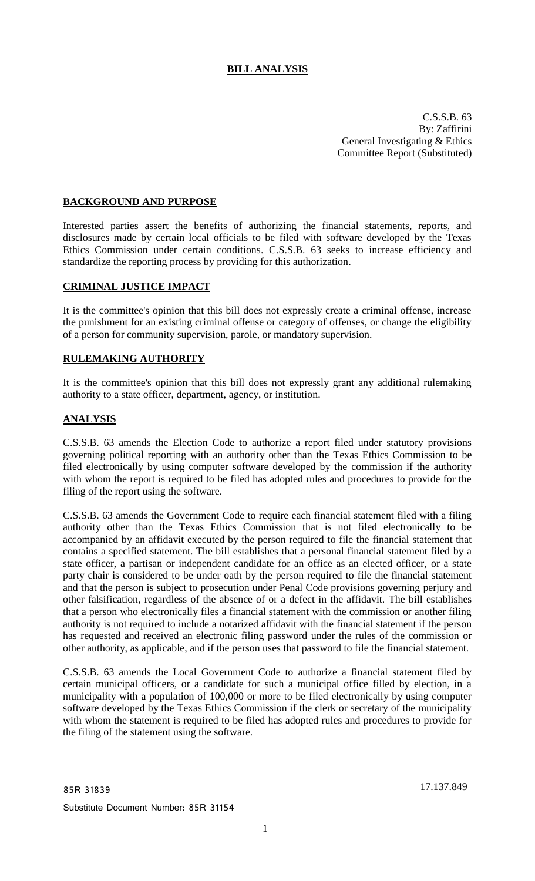# **BILL ANALYSIS**

C.S.S.B. 63 By: Zaffirini General Investigating & Ethics Committee Report (Substituted)

## **BACKGROUND AND PURPOSE**

Interested parties assert the benefits of authorizing the financial statements, reports, and disclosures made by certain local officials to be filed with software developed by the Texas Ethics Commission under certain conditions. C.S.S.B. 63 seeks to increase efficiency and standardize the reporting process by providing for this authorization.

#### **CRIMINAL JUSTICE IMPACT**

It is the committee's opinion that this bill does not expressly create a criminal offense, increase the punishment for an existing criminal offense or category of offenses, or change the eligibility of a person for community supervision, parole, or mandatory supervision.

## **RULEMAKING AUTHORITY**

It is the committee's opinion that this bill does not expressly grant any additional rulemaking authority to a state officer, department, agency, or institution.

#### **ANALYSIS**

C.S.S.B. 63 amends the Election Code to authorize a report filed under statutory provisions governing political reporting with an authority other than the Texas Ethics Commission to be filed electronically by using computer software developed by the commission if the authority with whom the report is required to be filed has adopted rules and procedures to provide for the filing of the report using the software.

C.S.S.B. 63 amends the Government Code to require each financial statement filed with a filing authority other than the Texas Ethics Commission that is not filed electronically to be accompanied by an affidavit executed by the person required to file the financial statement that contains a specified statement. The bill establishes that a personal financial statement filed by a state officer, a partisan or independent candidate for an office as an elected officer, or a state party chair is considered to be under oath by the person required to file the financial statement and that the person is subject to prosecution under Penal Code provisions governing perjury and other falsification, regardless of the absence of or a defect in the affidavit. The bill establishes that a person who electronically files a financial statement with the commission or another filing authority is not required to include a notarized affidavit with the financial statement if the person has requested and received an electronic filing password under the rules of the commission or other authority, as applicable, and if the person uses that password to file the financial statement.

C.S.S.B. 63 amends the Local Government Code to authorize a financial statement filed by certain municipal officers, or a candidate for such a municipal office filled by election, in a municipality with a population of 100,000 or more to be filed electronically by using computer software developed by the Texas Ethics Commission if the clerk or secretary of the municipality with whom the statement is required to be filed has adopted rules and procedures to provide for the filing of the statement using the software.